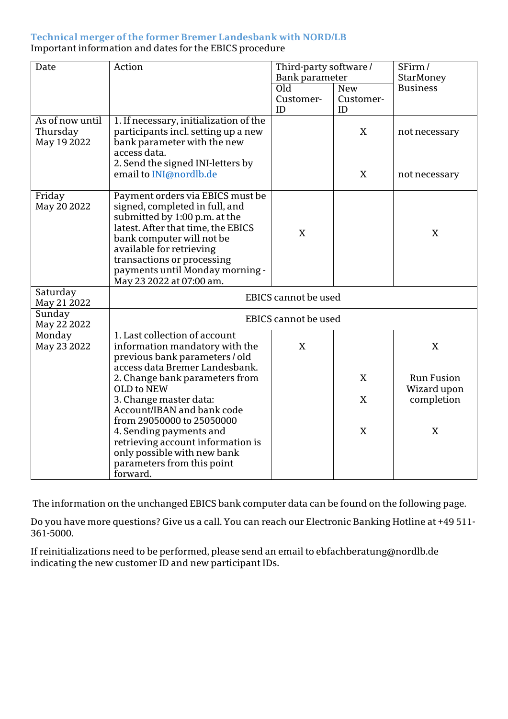## **Technical merger of the former Bremer Landesbank with NORD/LB** Important information and dates for the EBICS procedure

| Date                                       | Action                                                                                                                                                                                                                                                                                          | Third-party software /<br>Bank parameter |                           | SFirm /<br>StarMoney                           |
|--------------------------------------------|-------------------------------------------------------------------------------------------------------------------------------------------------------------------------------------------------------------------------------------------------------------------------------------------------|------------------------------------------|---------------------------|------------------------------------------------|
|                                            |                                                                                                                                                                                                                                                                                                 | Old                                      | <b>New</b>                | <b>Business</b>                                |
|                                            |                                                                                                                                                                                                                                                                                                 | Customer-<br>ID                          | Customer-<br>ID           |                                                |
| As of now until<br>Thursday<br>May 19 2022 | 1. If necessary, initialization of the<br>participants incl. setting up a new<br>bank parameter with the new<br>access data.                                                                                                                                                                    |                                          | $\boldsymbol{\mathrm{X}}$ | not necessary                                  |
|                                            | 2. Send the signed INI-letters by<br>email to INI@nordlb.de                                                                                                                                                                                                                                     |                                          | X                         | not necessary                                  |
| Friday<br>May 20 2022                      | Payment orders via EBICS must be<br>signed, completed in full, and<br>submitted by 1:00 p.m. at the<br>latest. After that time, the EBICS<br>bank computer will not be<br>available for retrieving<br>transactions or processing<br>payments until Monday morning -<br>May 23 2022 at 07:00 am. | X                                        |                           | $\boldsymbol{\mathrm{X}}$                      |
| Saturday<br>May 21 2022                    | <b>EBICS</b> cannot be used                                                                                                                                                                                                                                                                     |                                          |                           |                                                |
| Sunday<br>May 22 2022                      | <b>EBICS</b> cannot be used                                                                                                                                                                                                                                                                     |                                          |                           |                                                |
| Monday<br>May 23 2022                      | 1. Last collection of account<br>information mandatory with the<br>previous bank parameters / old<br>access data Bremer Landesbank.                                                                                                                                                             | X                                        |                           | X                                              |
|                                            | 2. Change bank parameters from<br>OLD to NEW                                                                                                                                                                                                                                                    |                                          | X                         | <b>Run Fusion</b><br>Wizard upon<br>completion |
|                                            | 3. Change master data:<br>Account/IBAN and bank code                                                                                                                                                                                                                                            |                                          | X                         |                                                |
|                                            | from 29050000 to 25050000<br>4. Sending payments and<br>retrieving account information is<br>only possible with new bank<br>parameters from this point<br>forward.                                                                                                                              |                                          | $\mathbf X$               | $\boldsymbol{\mathrm{X}}$                      |

The information on the unchanged EBICS bank computer data can be found on the following page.

Do you have more questions? Give us a call. You can reach our Electronic Banking Hotline at +49 511- 361-5000.

If reinitializations need to be performed, please send an email to ebfachberatung@nordlb.de indicating the new customer ID and new participant IDs.